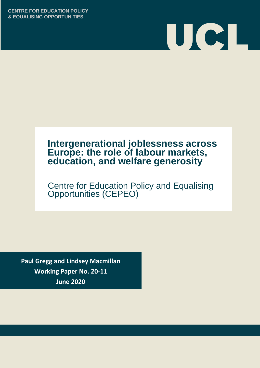**CENTRE FOR EDUCATION POLICY & EQUALISING OPPORTUNITIES**



# **Intergenerational joblessness across Europe: the role of labour markets, education, and welfare generosity**

Centre for Education Policy and Equalising Opportunities (CEPEO)

**Paul Gregg and Lindsey Macmillan Working Paper No. 20-11 June 2020**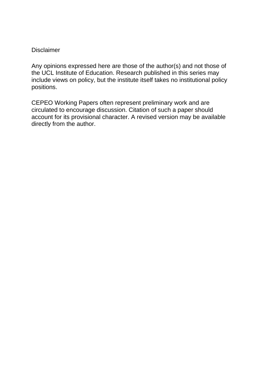### **Disclaimer**

Any opinions expressed here are those of the author(s) and not those of the UCL Institute of Education. Research published in this series may include views on policy, but the institute itself takes no institutional policy positions.

CEPEO Working Papers often represent preliminary work and are circulated to encourage discussion. Citation of such a paper should account for its provisional character. A revised version may be available directly from the author.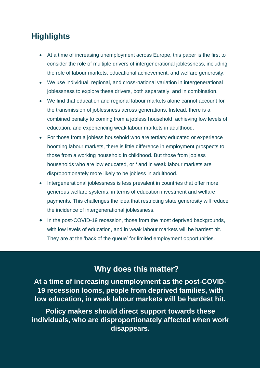# **Highlights**

- At a time of increasing unemployment across Europe, this paper is the first to consider the role of multiple drivers of intergenerational joblessness, including the role of labour markets, educational achievement, and welfare generosity.
- We use individual, regional, and cross-national variation in intergenerational joblessness to explore these drivers, both separately, and in combination.
- We find that education and regional labour markets alone cannot account for the transmission of joblessness across generations. Instead, there is a combined penalty to coming from a jobless household, achieving low levels of education, and experiencing weak labour markets in adulthood.
- For those from a jobless household who are tertiary educated or experience booming labour markets, there is little difference in employment prospects to those from a working household in childhood. But those from jobless households who are low educated, or / and in weak labour markets are disproportionately more likely to be jobless in adulthood.
- Intergenerational joblessness is less prevalent in countries that offer more generous welfare systems, in terms of education investment and welfare payments. This challenges the idea that restricting state generosity will reduce the incidence of intergenerational joblessness.
- In the post-COVID-19 recession, those from the most deprived backgrounds, with low levels of education, and in weak labour markets will be hardest hit. They are at the 'back of the queue' for limited employment opportunities.

## **Why does this matter?**

**At a time of increasing unemployment as the post-COVID-19 recession looms, people from deprived families, with low education, in weak labour markets will be hardest hit.**

**Policy makers should direct support towards these individuals, who are disproportionately affected when work disappears.**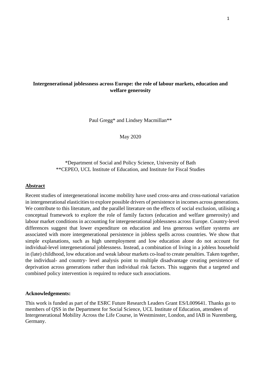### **Intergenerational joblessness across Europe: the role of labour markets, education and welfare generosity**

Paul Gregg\* and Lindsey Macmillan\*\*

May 2020

### \*Department of Social and Policy Science, University of Bath \*\*CEPEO, UCL Institute of Education, and Institute for Fiscal Studies

### **Abstract**

Recent studies of intergenerational income mobility have used cross-area and cross-national variation in intergenerational elasticities to explore possible drivers of persistence in incomes across generations. We contribute to this literature, and the parallel literature on the effects of social exclusion, utilising a conceptual framework to explore the role of family factors (education and welfare generosity) and labour market conditions in accounting for intergenerational joblessness across Europe. Country-level differences suggest that lower expenditure on education and less generous welfare systems are associated with more intergenerational persistence in jobless spells across countries. We show that simple explanations, such as high unemployment and low education alone do not account for individual-level intergenerational joblessness. Instead, a combination of living in a jobless household in (late) childhood, low education and weak labour markets co-load to create penalties. Taken together, the individual- and country- level analysis point to multiple disadvantage creating persistence of deprivation across generations rather than individual risk factors. This suggests that a targeted and combined policy intervention is required to reduce such associations.

### **Acknowledgements:**

This work is funded as part of the ESRC Future Research Leaders Grant ES/L009641. Thanks go to members of QSS in the Department for Social Science, UCL Institute of Education, attendees of Intergenerational Mobility Across the Life Course, in Westminster, London, and IAB in Nuremberg, Germany.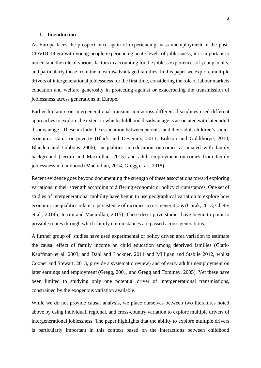#### **1. Introduction**

As Europe faces the prospect once again of experiencing mass unemployment in the post-COVID-19 era with young people experiencing acute levels of joblessness, it is important to understand the role of various factors in accounting for the jobless experiences of young adults, and particularly those from the most disadvantaged families. In this paper we explore multiple drivers of intergenerational joblessness for the first time, considering the role of labour markets education and welfare generosity in protecting against or exacerbating the transmission of joblessness across generations in Europe.

Earlier literature on intergenerational transmission across different disciplines used different approaches to explore the extent to which childhood disadvantage is associated with later adult disadvantage. These include the association between parents' and their adult children's socioeconomic status or poverty (Black and Deveraux, 2011, Erikson and Goldthorpe, 2010, Blanden and Gibbons 2006), inequalities in education outcomes associated with family background (Jerrim and Macmillan, 2015) and adult employment outcomes from family joblessness in childhood (Macmillan, 2014, Gregg et al., 2018).

Recent evidence goes beyond documenting the strength of these associations toward exploring variations in their strength according to differing economic or policy circumstances. One set of studies of intergenerational mobility have begun to use geographical variation to explore how economic inequalities relate to persistence of incomes across generations (Corak, 2013, Chetty et al., 2014b, Jerrim and Macmillan, 2015). These descriptive studies have begun to point to possible routes through which family circumstances are passed across generations.

A further group of studies have used experimental or policy driven area variation to estimate the causal effect of family income on child education among deprived families (Clark-Kauffman et al. 2003, and Dahl and Lockner, 2011 and Milligan and Stabile 2012, whilst Cooper and Stewart, 2013, provide a systematic review) and of early adult unemployment on later earnings and employment (Gregg, 2001, and Gregg and Tominey, 2005). Yet these have been limited to studying only one potential driver of intergenerational transmissions, constrained by the exogenous variation available.

While we do not provide causal analysis, we place ourselves between two literatures noted above by using individual, regional, and cross-country variation to explore multiple drivers of intergenerational joblessness. The paper highlights that the ability to explore multiple drivers is particularly important in this context based on the interactions between childhood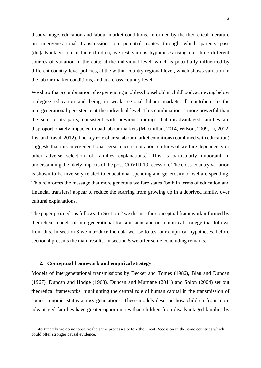disadvantage, education and labour market conditions. Informed by the theoretical literature on intergenerational transmissions on potential routes through which parents pass (dis)advantages on to their children, we test various hypotheses using our three different sources of variation in the data; at the individual level, which is potentially influenced by different country-level policies, at the within-country regional level, which shows variation in the labour market conditions, and at a cross-country level.

We show that a combination of experiencing a jobless household in childhood, achieving below a degree education and being in weak regional labour markets all contribute to the intergenerational persistence at the individual level. This combination is more powerful than the sum of its parts, consistent with previous findings that disadvantaged families are disproportionately impacted in bad labour markets (Macmillan, 2014, Wilson, 2009, Li, 2012, List and Rasul, 2012). The key role of area labour market conditions (combined with education) suggests that this intergenerational persistence is not about cultures of welfare dependency or other adverse selection of families explanations.<sup>1</sup> This is particularly important in understanding the likely impacts of the post-COVID-19 recession. The cross-country variation is shown to be inversely related to educational spending and generosity of welfare spending. This reinforces the message that more generous welfare states (both in terms of education and financial transfers) appear to reduce the scarring from growing up in a deprived family, over cultural explanations.

The paper proceeds as follows. In Section 2 we discuss the conceptual framework informed by theoretical models of intergenerational transmissions and our empirical strategy that follows from this. In section 3 we introduce the data we use to test our empirical hypotheses, before section 4 presents the main results. In section 5 we offer some concluding remarks.

### **2. Conceptual framework and empirical strategy**

Models of intergenerational transmissions by Becker and Tomes (1986), Blau and Duncan (1967), Duncan and Hodge (1963), Duncan and Murnane (2011) and Solon (2004) set out theoretical frameworks, highlighting the central role of human capital in the transmission of socio-economic status across generations. These models describe how children from more advantaged families have greater opportunities than children from disadvantaged families by

<sup>1</sup> Unfortunately we do not observe the same processes before the Great Recession in the same countries which could offer stronger causal evidence.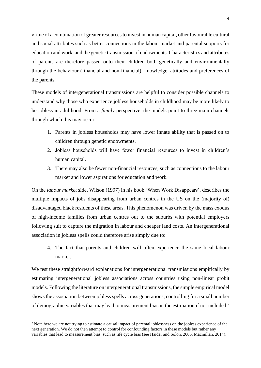virtue of a combination of greater resources to invest in human capital, other favourable cultural and social attributes such as better connections in the labour market and parental supports for education and work, and the genetic transmission of endowments. Characteristics and attributes of parents are therefore passed onto their children both genetically and environmentally through the behaviour (financial and non-financial), knowledge, attitudes and preferences of the parents.

These models of intergenerational transmissions are helpful to consider possible channels to understand why those who experience jobless households in childhood may be more likely to be jobless in adulthood. From a *family* perspective, the models point to three main channels through which this may occur:

- 1. Parents in jobless households may have lower innate ability that is passed on to children through genetic endowments.
- 2. Jobless households will have fewer financial resources to invest in children's human capital.
- 3. There may also be fewer non-financial resources, such as connections to the labour market and lower aspirations for education and work.

On the *labour market* side, Wilson (1997) in his book 'When Work Disappears', describes the multiple impacts of jobs disappearing from urban centres in the US on the (majority of) disadvantaged black residents of these areas. This phenomenon was driven by the mass exodus of high-income families from urban centres out to the suburbs with potential employers following suit to capture the migration in labour and cheaper land costs. An intergenerational association in jobless spells could therefore arise simply due to:

4. The fact that parents and children will often experience the same local labour market.

We test these straightforward explanations for intergenerational transmissions empirically by estimating intergenerational jobless associations across countries using non-linear probit models. Following the literature on intergenerational transmissions, the simple empirical model shows the association between jobless spells across generations, controlling for a small number of demographic variables that may lead to measurement bias in the estimation if not included.<sup>2</sup>

<sup>&</sup>lt;sup>2</sup> Note here we are not trying to estimate a causal impact of parental joblessness on the jobless experience of the next generation. We do not then attempt to control for confounding factors in these models but rather any variables that lead to measurement bias, such as life cycle bias (see Haider and Solon, 2006, Macmillan, 2014).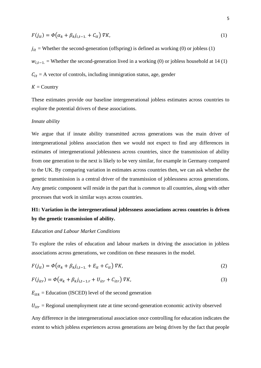$$
F(j_{it}) = \Phi(\alpha_k + \beta_k j_{i,t-1} + C_{it}) \nabla K,\tag{1}
$$

 $j_{it}$  = Whether the second-generation (offspring) is defined as working (0) or jobless (1)

 $w_{i,t-1}$ . = Whether the second-generation lived in a working (0) or jobless household at 14 (1)

 $C_{it}$  = A vector of controls, including immigration status, age, gender

### $K =$  Country

These estimates provide our baseline intergenerational jobless estimates across countries to explore the potential drivers of these associations.

#### *Innate ability*

We argue that if innate ability transmitted across generations was the main driver of intergenerational jobless association then we would not expect to find any differences in estimates of intergenerational joblessness across countries, since the transmission of ability from one generation to the next is likely to be very similar, for example in Germany compared to the UK. By comparing variation in estimates across countries then, we can ask whether the genetic transmission is a central driver of the transmission of joblessness across generations. Any genetic component will reside in the part that is *common* to all countries, along with other processes that work in similar ways across countries.

### **H1: Variation in the intergenerational joblessness associations across countries is driven by the genetic transmission of ability.**

### *Education and Labour Market Conditions*

To explore the roles of education and labour markets in driving the association in jobless associations across generations, we condition on these measures in the model.

$$
F(j_{it}) = \Phi(\alpha_k + \beta_k j_{i,t-1} + E_{it} + C_{it}) \nabla K,\tag{2}
$$

$$
F(j_{itr}) = \Phi(\alpha_k + \beta_k j_{i,t-1,r} + U_{itr} + C_{itr}) \nabla K,\tag{3}
$$

 $E_{itk}$  = Education (ISCED) level of the second generation

 $U_{itr}$  = Regional unemployment rate at time second-generation economic activity observed

Any difference in the intergenerational association once controlling for education indicates the extent to which jobless experiences across generations are being driven by the fact that people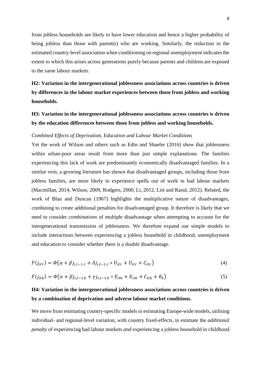from jobless households are likely to have lower education and hence a higher probability of being jobless than those with parent(s) who are working. Similarly, the reduction in the estimated country-level association when conditioning on regional unemployment indicates the extent to which this arises across generations purely because parents and children are exposed to the same labour markets.

## **H2: Variation in the intergenerational joblessness associations across countries is driven by differences in the labour market experiences between those from jobless and working households.**

### **H3: Variation in the intergenerational joblessness associations across countries is driven by the education differences between those from jobless and working households.**

#### *Combined Effects of Deprivation, Education and Labour Market Conditions*

Yet the work of Wilson and others such as Edin and Shaefer (2016) show that joblessness within urban-poor areas result from more than just simple explanations. The families experiencing this lack of work are predominantly economically disadvantaged families. In a similar vein, a growing literature has shown that disadvantaged groups, including those from jobless families, are more likely to experience spells out of work in bad labour markets (Macmillan, 2014, Wilson, 2009, Rodgers, 2000, Li, 2012, List and Rasul, 2012). Related, the work of Blau and Duncan (1967) highlights the multiplicative nature of disadvantages, combining to create additional penalties for disadvantaged group. It therefore is likely that we need to consider *combinations* of multiple disadvantage when attempting to account for the intergenerational transmission of joblessness. We therefore expand our simple models to include interactions between experiencing a jobless household in childhood, unemployment and education to consider whether there is a double disadvantage.

$$
F(j_{itr}) = \Phi\left(\alpha + \beta j_{i,t-1,r} + \delta j_{i,t-1,r} * U_{itr} + U_{itr} + C_{itr}\right)
$$
\n<sup>(4)</sup>

$$
F(j_{itk}) = \Phi\left(\alpha + \beta j_{i,t-1,k} + \gamma j_{i,t-1,k} * E_{itk} + E_{itk} + C_{itk} + \theta_k\right)
$$
\n<sup>(5)</sup>

### **H4: Variation in the intergenerational joblessness associations across countries is driven by a combination of deprivation and adverse labour market conditions.**

We move from estimating country-specific models to estimating Europe-wide models, utilising individual- and regional-level variation, with country fixed-effects, to estimate the *additional penalty* of experiencing bad labour markets *and* experiencing a jobless household in childhood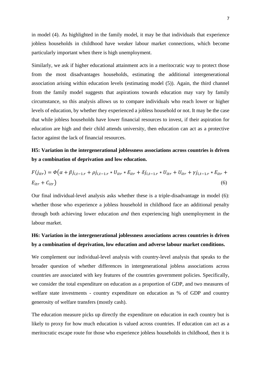in model (4). As highlighted in the family model, it may be that individuals that experience jobless households in childhood have weaker labour market connections, which become particularly important when there is high unemployment.

Similarly, we ask if higher educational attainment acts in a meritocratic way to protect those from the most disadvantages households, estimating the additional intergenerational association arising within education levels (estimating model (5)). Again, the third channel from the family model suggests that aspirations towards education may vary by family circumstance, so this analysis allows us to compare individuals who reach lower or higher levels of education, by whether they experienced a jobless household or not. It may be the case that while jobless households have lower financial resources to invest, if their aspiration for education are high and their child attends university, then education can act as a protective factor against the lack of financial resources.

### **H5: Variation in the intergenerational joblessness associations across countries is driven by a combination of deprivation and low education.**

$$
F(j_{itr}) = \Phi(\alpha + \beta j_{i,t-1,r} + \rho j_{i,t-1,r} * U_{itr} * E_{itr} + \delta j_{i,t-1,r} * U_{itr} + U_{itr} + \gamma j_{i,t-1,r} * E_{itr} + E_{itr} + C_{itr})
$$
\n(6)

Our final individual-level analysis asks whether these is a triple-disadvantage in model (6): whether those who experience a jobless household in childhood face an additional penalty through both achieving lower education *and* then experiencing high unemployment in the labour market.

### **H6: Variation in the intergenerational joblessness associations across countries is driven by a combination of deprivation, low education and adverse labour market conditions.**

We complement our individual-level analysis with country-level analysis that speaks to the broader question of whether differences in intergenerational jobless associations across countries are associated with key features of the countries government policies. Specifically, we consider the total expenditure on education as a proportion of GDP, and two measures of welfare state investments - country expenditure on education as % of GDP and country generosity of welfare transfers (mostly cash).

The education measure picks up directly the expenditure on education in each country but is likely to proxy for how much education is valued across countries. If education can act as a meritocratic escape route for those who experience jobless households in childhood, then it is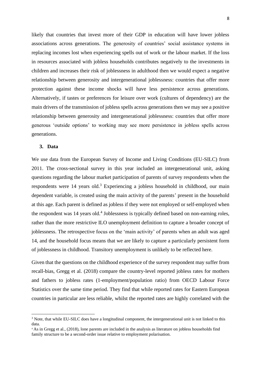likely that countries that invest more of their GDP in education will have lower jobless associations across generations. The generosity of countries' social assistance systems in replacing incomes lost when experiencing spells out of work or the labour market. If the loss in resources associated with jobless households contributes negatively to the investments in children and increases their risk of joblessness in adulthood then we would expect a negative relationship between generosity and intergenerational joblessness: countries that offer more protection against these income shocks will have less persistence across generations. Alternatively, if tastes or preferences for leisure over work (cultures of dependency) are the main drivers of the transmission of jobless spells across generations then we may see a positive relationship between generosity and intergenerational joblessness: countries that offer more generous 'outside options' to working may see more persistence in jobless spells across generations.

### **3. Data**

We use data from the European Survey of Income and Living Conditions (EU-SILC) from 2011. The cross-sectional survey in this year included an intergenerational unit, asking questions regarding the labour market participation of parents of survey respondents when the respondents were 14 years old.<sup>3</sup> Experiencing a jobless household in childhood, our main dependent variable, is created using the main activity of the parents' present in the household at this age. Each parent is defined as jobless if they were not employed or self-employed when the respondent was 14 years old.<sup>4</sup> Joblessness is typically defined based on non-earning roles, rather than the more restrictive ILO unemployment definition to capture a broader concept of joblessness. The retrospective focus on the 'main activity' of parents when an adult was aged 14, and the household focus means that we are likely to capture a particularly persistent form of joblessness in childhood. Transitory unemployment is unlikely to be reflected here.

Given that the questions on the childhood experience of the survey respondent may suffer from recall-bias, Gregg et al. (2018) compare the country-level reported jobless rates for mothers and fathers to jobless rates (1-employment/population ratio) from OECD Labour Force Statistics over the same time period. They find that while reported rates for Eastern European countries in particular are less reliable, whilst the reported rates are highly correlated with the

<sup>&</sup>lt;sup>3</sup> Note, that while EU-SILC does have a longitudinal component, the intergenerational unit is not linked to this data.

<sup>4</sup> As in Gregg et al., (2018), lone parents are included in the analysis as literature on jobless households find family structure to be a second-order issue relative to employment polarisation.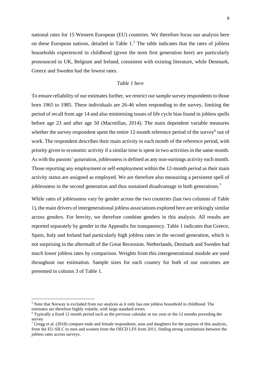national rates for 15 Western European (EU) countries. We therefore focus our analysis here on these European nations, detailed in Table 1.<sup>5</sup> The table indicates that the rates of jobless households experienced in childhood (given the term first generation here) are particularly pronounced in UK, Belgium and Ireland, consistent with existing literature, while Denmark, Greece and Sweden had the lowest rates.

### *Table 1 here*

To ensure reliability of our estimates further, we restrict our sample survey respondents to those born 1965 to 1985. These individuals are 26-46 when responding to the survey, limiting the period of recall from age 14 and also minimising issues of life cycle bias found in jobless spells before age 23 and after age 50 (Macmillan, 2014). The main dependent variable measures whether the survey respondent spent the entire  $12$ -month reference period of the survey $6$  out of work. The respondent describes their main activity in each month of the reference period, with priority given to economic activity if a similar time is spent in two activities in the same month. As with the parents' generation, joblessness is defined as any non-earnings activity each month. Those reporting any employment or self-employment within the 12-month period as their main activity status are assigned as employed. We are therefore also measuring a persistent spell of joblessness in the second generation and thus sustained disadvantage in both generations. 7

While rates of joblessness vary by gender across the two countries (last two columns of Table 1), the main drivers of intergenerational jobless associations explored here are strikingly similar across genders. For brevity, we therefore combine genders in this analysis. All results are reported separately by gender in the Appendix for transparency. Table 1 indicates that Greece, Spain, Italy and Ireland had particularly high jobless rates in the second generation, which is not surprising in the aftermath of the Great Recession. Netherlands, Denmark and Sweden had much lower jobless rates by comparison. Weights from this intergenerational module are used throughout our estimation. Sample sizes for each country for both of our outcomes are presented in column 3 of Table 1.

<sup>5</sup> Note that Norway is excluded from our analysis as it only has one jobless household in childhood. The estimates are therefore highly volatile, with large standard errors.

<sup>6</sup> Typically a fixed 12 month period such as the previous calendar or tax year or the 12 months preceding the survey

<sup>&</sup>lt;sup>7</sup> Gregg et al. (2018) compare male and female respondents, sons and daughters for the purpose of this analysis, from the EU-SILC to men and women from the OECD LFS from 2011, finding strong correlations between the jobless rates across surveys.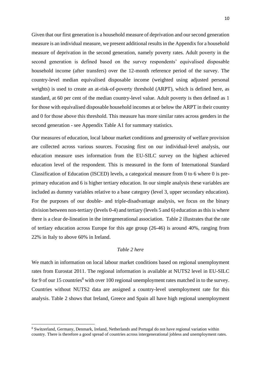Given that our first generation is a household measure of deprivation and our second generation measure is an individual measure, we present additional results in the Appendix for a household measure of deprivation in the second generation, namely poverty rates. Adult poverty in the second generation is defined based on the survey respondents' equivalised disposable household income (after transfers) over the 12-month reference period of the survey. The country-level median equivalised disposable income (weighted using adjusted personal weights) is used to create an at-risk-of-poverty threshold (ARPT), which is defined here, as standard, at 60 per cent of the median country-level value. Adult poverty is then defined as 1 for those with equivalised disposable household incomes at or below the ARPT in their country and 0 for those above this threshold. This measure has more similar rates across genders in the second generation - see Appendix Table A1 for summary statistics.

Our measures of education, local labour market conditions and generosity of welfare provision are collected across various sources. Focusing first on our individual-level analysis, our education measure uses information from the EU-SILC survey on the highest achieved education level of the respondent. This is measured in the form of International Standard Classification of Education (ISCED) levels, a categorical measure from 0 to 6 where 0 is preprimary education and 6 is higher tertiary education. In our simple analysis these variables are included as dummy variables relative to a base category (level 3, upper secondary education). For the purposes of our double- and triple-disadvantage analysis, we focus on the binary division between non-tertiary (levels 0-4) and tertiary (levels 5 and 6) education as this is where there is a clear de-lineation in the intergenerational association. Table 2 illustrates that the rate of tertiary education across Europe for this age group (26-46) is around 40%, ranging from 22% in Italy to above 60% in Ireland.

### *Table 2 here*

We match in information on local labour market conditions based on regional unemployment rates from Eurostat 2011. The regional information is available at NUTS2 level in EU-SILC for 9 of our 15 countries<sup>8</sup> with over 100 regional unemployment rates matched in to the survey. Countries without NUTS2 data are assigned a country-level unemployment rate for this analysis. Table 2 shows that Ireland, Greece and Spain all have high regional unemployment

<sup>8</sup> Switzerland, Germany, Denmark, Ireland, Netherlands and Portugal do not have regional variation within country. There is therefore a good spread of countries across intergenerational jobless and unemployment rates.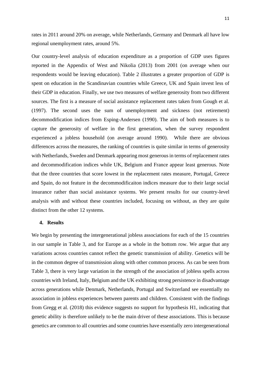rates in 2011 around 20% on average, while Netherlands, Germany and Denmark all have low regional unemployment rates, around 5%.

Our country-level analysis of education expenditure as a proportion of GDP uses figures reported in the Appendix of West and Nikolia (2013) from 2001 (on average when our respondents would be leaving education). Table 2 illustrates a greater proportion of GDP is spent on education in the Scandinavian countries while Greece, UK and Spain invest less of their GDP in education. Finally, we use two measures of welfare generosity from two different sources. The first is a measure of social assistance replacement rates taken from Gough et al. (1997). The second uses the sum of unemployment and sickness (not retirement) decommodification indices from Esping-Andersen (1990). The aim of both measures is to capture the generosity of welfare in the first generation, when the survey respondent experienced a jobless household (on average around 1990). While there are obvious differences across the measures, the ranking of countries is quite similar in terms of generosity with Netherlands, Sweden and Denmark appearing most generous in terms of replacement rates and decommodification indices while UK, Belgium and France appear least generous. Note that the three countries that score lowest in the replacement rates measure, Portugal, Greece and Spain, do not feature in the decommodificaiton indices measure due to their large social insurance rather than social assistance systems. We present results for our country-level analysis with and without these countries included, focusing on without, as they are quite distinct from the other 12 systems.

### **4. Results**

We begin by presenting the intergenerational jobless associations for each of the 15 countries in our sample in Table 3, and for Europe as a whole in the bottom row. We argue that any variations across countries cannot reflect the genetic transmission of ability. Genetics will be in the common degree of transmission along with other common process. As can be seen from Table 3, there is very large variation in the strength of the association of jobless spells across countries with Ireland, Italy, Belgium and the UK exhibiting strong persistence in disadvantage across generations while Denmark, Netherlands, Portugal and Switzerland see essentially no association in jobless experiences between parents and children. Consistent with the findings from Gregg et al. (2018) this evidence suggests no support for hypothesis H1, indicating that genetic ability is therefore unlikely to be the main driver of these associations. This is because genetics are common to all countries and some countries have essentially zero intergenerational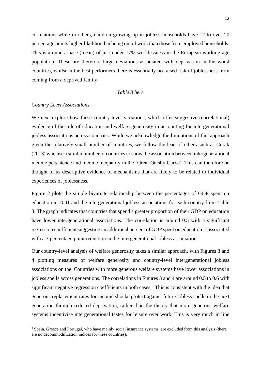correlations while in others, children growing up in jobless households have 12 to over 20 percentage points higher likelihood in being out of work than those from employed households. This is around a base (mean) of just under 17% worklessness in the European working age population. These are therefore large deviations associated with deprivation in the worst countries, whilst in the best performers there is essentially no raised risk of joblessness from coming from a deprived family.

### *Table 3 here*

### *Country Level Associations*

We next explore how these country-level variations, which offer suggestive (correlational) evidence of the role of education and welfare generosity in accounting for intergenerational jobless associations across countries. While we acknowledge the limitations of this approach given the relatively small number of countries, we follow the lead of others such as Corak (2013) who use a similar number of countries to show the association between intergenerational income persistence and income inequality in the 'Great Gatsby Curve'. This can therefore be thought of us descriptive evidence of mechanisms that are likely to be related to individual experiences of joblessness.

Figure 2 plots the simple bivariate relationship between the percentages of GDP spent on education in 2001 and the intergenerational jobless associations for each country from Table 3. The graph indicates that countries that spend a greater proportion of their GDP on education have lower intergenerational associations. The correlation is around 0.5 with a significant regression coefficient suggesting an additional percent of GDP spent on education is associated with a 3 percentage point reduction in the intergenerational jobless association.

Our country-level analysis of welfare generosity takes a similar approach, with Figures 3 and 4 plotting measures of welfare generosity and country-level intergenerational jobless associations on the. Countries with more generous welfare systems have lower associations in jobless spells across generations. The correlations in Figures 3 and 4 are around 0.5 to 0.6 with significant negative regression coefficients in both cases.<sup>9</sup> This is consistent with the idea that generous replacement rates for income shocks protect against future jobless spells in the next generation through reduced deprivation, rather than the theory that more generous welfare systems incentivise intergenerational tastes for leisure over work. This is very much in line

<sup>&</sup>lt;sup>9</sup> Spain, Greece and Portugal, who have mainly social insurance systems, are excluded from this analysis (there are no decommodification indices for these countries).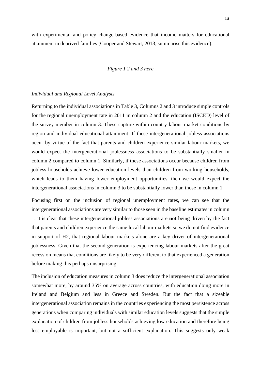with experimental and policy change-based evidence that income matters for educational attainment in deprived families (Cooper and Stewart, 2013, summarise this evidence).

#### *Figure 1 2 and 3 here*

### *Individual and Regional Level Analysis*

Returning to the individual associations in Table 3, Columns 2 and 3 introduce simple controls for the regional unemployment rate in 2011 in column 2 and the education (ISCED) level of the survey member in column 3. These capture within-country labour market conditions by region and individual educational attainment. If these intergenerational jobless associations occur by virtue of the fact that parents and children experience similar labour markets, we would expect the intergenerational joblessness associations to be substantially smaller in column 2 compared to column 1. Similarly, if these associations occur because children from jobless households achieve lower education levels than children from working households, which leads to them having lower employment opportunities, then we would expect the intergenerational associations in column 3 to be substantially lower than those in column 1.

Focusing first on the inclusion of regional unemployment rates, we can see that the intergenerational associations are very similar to those seen in the baseline estimates in column 1: it is clear that these intergenerational jobless associations are **not** being driven by the fact that parents and children experience the same local labour markets so we do not find evidence in support of H2, that regional labour markets alone are a key driver of intergenerational joblessness. Given that the second generation is experiencing labour markets after the great recession means that conditions are likely to be very different to that experienced a generation before making this perhaps unsurprising.

The inclusion of education measures in column 3 does reduce the intergenerational association somewhat more, by around 35% on average across countries, with education doing more in Ireland and Belgium and less in Greece and Sweden. But the fact that a sizeable intergenerational association remains in the countries experiencing the most persistence across generations when comparing individuals with similar education levels suggests that the simple explanation of children from jobless households achieving low education and therefore being less employable is important, but not a sufficient explanation. This suggests only weak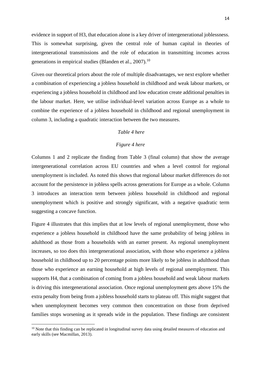evidence in support of H3, that education alone is a key driver of intergenerational joblessness. This is somewhat surprising, given the central role of human capital in theories of intergenerational transmissions and the role of education in transmitting incomes across generations in empirical studies (Blanden et al., 2007).<sup>10</sup>

Given our theoretical priors about the role of multiple disadvantages, we next explore whether a combination of experiencing a jobless household in childhood and weak labour markets, or experiencing a jobless household in childhood and low education create additional penalties in the labour market. Here, we utilise individual-level variation across Europe as a whole to combine the experience of a jobless household in childhood and regional unemployment in column 3, including a quadratic interaction between the two measures.

### *Table 4 here*

### *Figure 4 here*

Columns 1 and 2 replicate the finding from Table 3 (final column) that show the average intergenerational correlation across EU countries and when a level control for regional unemployment is included. As noted this shows that regional labour market differences do not account for the persistence in jobless spells across generations for Europe as a whole. Column 3 introduces an interaction term between jobless household in childhood and regional unemployment which is positive and strongly significant, with a negative quadratic term suggesting a concave function.

Figure 4 illustrates that this implies that at low levels of regional unemployment, those who experience a jobless household in childhood have the same probability of being jobless in adulthood as those from a households with an earner present. As regional unemployment increases, so too does this intergenerational association, with those who experience a jobless household in childhood up to 20 percentage points more likely to be jobless in adulthood than those who experience an earning household at high levels of regional unemployment. This supports H4, that a combination of coming from a jobless household and weak labour markets is driving this intergenerational association. Once regional unemployment gets above 15% the extra penalty from being from a jobless household starts to plateau off. This might suggest that when unemployment becomes very common then concentration on those from deprived families stops worsening as it spreads wide in the population. These findings are consistent

<sup>&</sup>lt;sup>10</sup> Note that this finding can be replicated in longitudinal survey data using detailed measures of education and early skills (see Macmillan, 2013).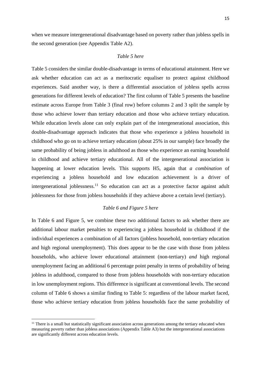when we measure intergenerational disadvantage based on poverty rather than jobless spells in the second generation (see Appendix Table A2).

### *Table 5 here*

Table 5 considers the similar double-disadvantage in terms of educational attainment. Here we ask whether education can act as a meritocratic equaliser to protect against childhood experiences. Said another way, is there a differential association of jobless spells across generations for different levels of education? The first column of Table 5 presents the baseline estimate across Europe from Table 3 (final row) before columns 2 and 3 split the sample by those who achieve lower than tertiary education and those who achieve tertiary education. While education levels alone can only explain part of the intergenerational association, this double-disadvantage approach indicates that those who experience a jobless household in childhood who go on to achieve tertiary education (about 25% in our sample) face broadly the same probability of being jobless in adulthood as those who experience an earning household in childhood and achieve tertiary educational. All of the intergenerational association is happening at lower education levels. This supports H5, again that *a combination* of experiencing a jobless household and low education achievement is a driver of intergenerational joblessness.<sup>11</sup> So education can act as a protective factor against adult joblessness for those from jobless households if they achieve above a certain level (tertiary).

### *Table 6 and Figure 5 here*

In Table 6 and Figure 5, we combine these two additional factors to ask whether there are additional labour market penalties to experiencing a jobless household in childhood if the individual experiences a combination of all factors (jobless household, non-tertiary education and high regional unemployment). This does appear to be the case with those from jobless households, who achieve lower educational attainment (non-tertiary) *and* high regional unemployment facing an additional 6 percentage point penalty in terms of probability of being jobless in adulthood, compared to those from jobless households with non-tertiary education in low unemployment regions. This difference is significant at conventional levels. The second column of Table 6 shows a similar finding to Table 5: regardless of the labour market faced, those who achieve tertiary education from jobless households face the same probability of

 $<sup>11</sup>$  There is a small but statistically significant association across generations among the tertiary educated when</sup> measuring poverty rather than jobless associations (Appendix Table A3) but the intergenerational associations are significantly different across education levels.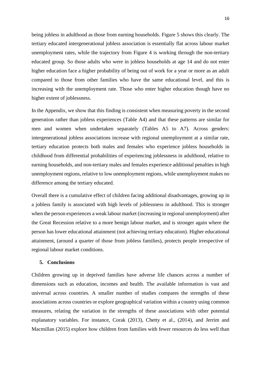being jobless in adulthood as those from earning households. Figure 5 shows this clearly. The tertiary educated intergenerational jobless association is essentially flat across labour market unemployment rates, while the trajectory from Figure 4 is working through the non-tertiary educated group. So those adults who were in jobless households at age 14 and do not enter higher education face a higher probability of being out of work for a year or more as an adult compared to those from other families who have the same educational level, and this is increasing with the unemployment rate. Those who enter higher education though have no higher extent of joblessness.

In the Appendix, we show that this finding is consistent when measuring poverty in the second generation rather than jobless experiences (Table A4) and that these patterns are similar for men and women when undertaken separately (Tables A5 to A7). Across genders: intergenerational jobless associations increase with regional unemployment at a similar rate, tertiary education protects both males and females who experience jobless households in childhood from differential probabilities of experiencing joblessness in adulthood, relative to earning households, and non-tertiary males and females experience additional penalties in high unemployment regions, relative to low unemployment regions, while unemployment makes no difference among the tertiary educated.

Overall there is a cumulative effect of children facing additional disadvantages, growing up in a jobless family is associated with high levels of joblessness in adulthood. This is stronger when the person experiences a weak labour market (increasing in regional unemployment) after the Great Recession relative to a more benign labour market, and is stronger again where the person has lower educational attainment (not achieving tertiary education). Higher educational attainment, (around a quarter of those from jobless families), protects people irrespective of regional labour market conditions.

#### **5. Conclusions**

Children growing up in deprived families have adverse life chances across a number of dimensions such as education, incomes and health. The available information is vast and universal across countries. A smaller number of studies compares the strengths of these associations across countries or explore geographical variation within a country using common measures, relating the variation in the strengths of these associations with other potential explanatory variables. For instance, Corak (2013), Chetty et al., (2014), and Jerrim and Macmillan (2015) explore how children from families with fewer resources do less well than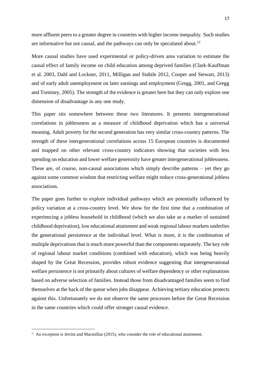more affluent peers to a greater degree in countries with higher income inequality. Such studies are informative but not causal, and the pathways can only be speculated about.<sup>12</sup>

More causal studies have used experimental or policy-driven area variation to estimate the causal effect of family income on child education among deprived families (Clark-Kauffman et al. 2003, Dahl and Lockner, 2011, Milligan and Stabile 2012, Cooper and Stewart, 2013) and of early adult unemployment on later earnings and employment (Gregg, 2001, and Gregg and Tominey, 2005). The strength of the evidence is greater here but they can only explore one dimension of disadvantage in any one study.

This paper sits somewhere between these two literatures. It presents intergenerational correlations in joblessness as a measure of childhood deprivation which has a universal meaning. Adult poverty for the second generation has very similar cross-country patterns. The strength of these intergenerational correlations across 15 European countries is documented and mapped on other relevant cross-country indicators showing that societies with less spending on education and lower welfare generosity have greater intergenerational joblessness. These are, of course, non-causal associations which simply describe patterns – yet they go against some common wisdom that restricting welfare might reduce cross-generational jobless associations.

The paper goes further to explore individual pathways which are potentially influenced by policy variation at a cross-country level. We show for the first time that a combination of experiencing a jobless household in childhood (which we also take as a marker of sustained childhood deprivation), low educational attainment and weak regional labour markets underlies the generational persistence at the individual level. What is more, it is the combination of multiple deprivations that is much more powerful than the components separately. The key role of regional labour market conditions (combined with education), which was being heavily shaped by the Great Recession, provides robust evidence suggesting that intergenerational welfare persistence is not primarily about cultures of welfare dependency or other explanations based on adverse selection of families. Instead those from disadvantaged families seem to find themselves at the back of the queue when jobs disappear. Achieving tertiary education protects against this. Unfortunately we do not observe the same processes before the Great Recession in the same countries which could offer stronger causal evidence.

 $12$  An exception is Jerrim and Macmillan (2015), who consider the role of educational attainment.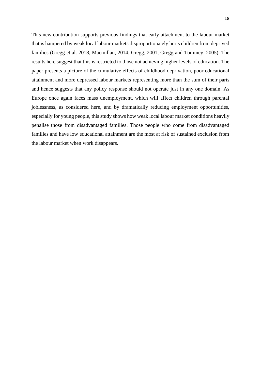This new contribution supports previous findings that early attachment to the labour market that is hampered by weak local labour markets disproportionately hurts children from deprived families (Gregg et al. 2018, Macmillan, 2014, Gregg, 2001, Gregg and Tominey, 2005). The results here suggest that this is restricted to those not achieving higher levels of education. The paper presents a picture of the cumulative effects of childhood deprivation, poor educational attainment and more depressed labour markets representing more than the sum of their parts and hence suggests that any policy response should not operate just in any one domain. As Europe once again faces mass unemployment, which will affect children through parental joblessness, as considered here, and by dramatically reducing employment opportunities, especially for young people, this study shows how weak local labour market conditions heavily penalise those from disadvantaged families. Those people who come from disadvantaged families and have low educational attainment are the most at risk of sustained exclusion from the labour market when work disappears.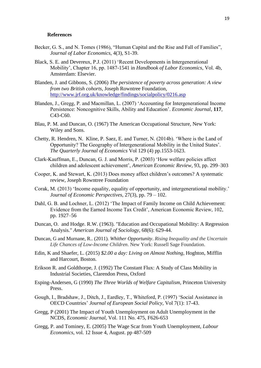#### **References**

- Becker, G. S., and N. Tomes (1986), "Human Capital and the Rise and Fall of Families", *Journal of Labor Economics*, 4(3), S1-39.
- [Black,](http://www.nber.org/people/sandra_black) S. E. and [Devereux,](http://www.nber.org/people/paul_devereux) P.J. (2011) 'Recent Developments in Intergenerational Mobility', Chapter 16, pp. 1487-1541 in *Handbook of Labor Economics*, Vol. 4b, Amsterdam: Elsevier.
- Blanden, J. and Gibbons, S. (2006) *The persistence of poverty across generation: A view from two British cohorts*, Joseph Rowntree Foundation, <http://www.jrf.org.uk/knowledge/findings/socialpolicy/0216.asp>
- Blanden, J., Gregg, P. and Macmillan, L. (2007) 'Accounting for Intergenerational Income Persistence: Noncognitive Skills, Ability and Education'. *Economic Journal*, **117**, C43-C60.
- Blau, P. M. and Duncan, O. (1967) The American Occupational Structure, New York: Wiley and Sons.
- Chetty, R. Hendren, N. Kline, P. Saez, E. and Turner, N. (2014b). 'Where is the Land of Opportunity? The Geography of Intergenerational Mobility in the United States'. *The Quarterly Journal of Economics* Vol 129 (4) pp.1553-1623.
- Clark-Kauffman, E., Duncan, G. J. and Morris, P. (2003) 'How welfare policies affect children and adolescent achievement', *American Economic Review*, 93, pp. 299–303
- Cooper, K. and Stewart, K. (2013) Does money affect children's outcomes? A systematic review, Joseph Rowntree Foundation
- Corak, M. (2013) 'Income equality, equality of opportunity, and intergenerational mobility.' *Journal of Economic Perspectives,* 27(3), pp. 79 – 102.
- Dahl, G. B. and Lochner, L. (2012) 'The Impact of Family Income on Child Achievement: Evidence from the Earned Income Tax Credit', American Economic Review, 102, pp. 1927–56
- Duncan, O. and Hodge. R.W. (1963). "Education and Occupational Mobility: A Regression Analysis." *American Journal of Sociology*, 68(6): 629-44.
- Duncan, G and Murnane, R.. (2011). *Whither Opportunity*. *Rising Inequality and the Uncertain Life Chances of Low-Income Children*. New York: Russell Sage Foundation.
- Edin, K and Shaefer, L. (2015) *\$2.00 a day: Living on Almost Nothing*, Hoghton, Mifflin and Harcourt, Boston.
- Erikson R. and Goldthorpe, J. (1992) The Constant Flux: A Study of Class Mobility in Industrial Societies, Clarendon Press, Oxford
- Esping-Andersen, G (1990) *The Three Worlds of Welfare Capitalism*, Princeton University Press.
- Gough, I., Bradshaw, J., Ditch, J., Eardley, T., Whiteford, P. (1997) 'Social Assistance in OECD Countries' *Journal of European Social Policy*, Vol 7(1): 17-43.
- Gregg, P (2001) The Impact of Youth Unemployment on Adult Unemployment in the NCDS, *Economic Journal*, Vol. 111 No. 475, F626-653
- Gregg, P. and Tominey, E. (2005) The Wage Scar from Youth Unemployment, *Labour Economics*, vol. 12 Issue 4, August. pp 487-509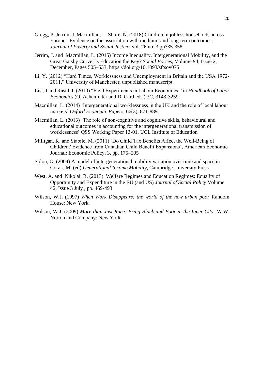- Gregg, P. Jerrim, J. Macmillan, L. Shure, N. (2018) Children in jobless households across Europe: Evidence on the association with medium- and long-term outcomes, *Journal of Poverty and Social Justice*, vol. 26 no. 3 pp335-358
- [Jerrim,](javascript:;) J. and [Macmillan,](javascript:;) L. (2015) Income Inequality, Intergenerational Mobility, and the Great Gatsby Curve: Is Education the Key? *Social Forces*, Volume 94, Issue 2, December, Pages 505–533,<https://doi.org/10.1093/sf/sov075>
- Li, Y. (2012) "Hard Times, Worklessness and Unemployment in Britain and the USA 1972- 2011," University of Manchester, unpublished manuscript.
- List, J and Rasul, I. (2010) "Field Experiments in Labour Economics," in *Handbook of Labor Economics* (O. Ashenfelter and D. Card eds.) 3C, 3143-3259.
- Macmillan, L. (2014) 'Intergenerational worklessness in the UK and the role of local labour markets' *Oxford Economic Papers,* 66(3), 871-889.
- Macmillan, L. (2013) 'The role of non-cognitive and cognitive skills, behavioural and educational outcomes in accounting for the intergenerational transmission of worklessness' QSS Working Paper 13-01, UCL Institute of Education
- Milligan, K. and Stabile, M. (2011) 'Do Child Tax Benefits Affect the Well-Being of Children? Evidence from Canadian Child Benefit Expansions', American Economic Journal: Economic Policy, 3, pp. 175–205
- Solon, G. (2004) A model of intergenerational mobility variation over time and space in Corak, M. (ed) *Generational Income Mobility*, Cambridge University Press
- [West,](https://www.cambridge.org/core/search?filters%5BauthorTerms%5D=ANNE%20WEST&eventCode=SE-AU) A. and [Nikolai,](https://www.cambridge.org/core/search?filters%5BauthorTerms%5D=RITA%20NIKOLAI&eventCode=SE-AU) R. (2013) Welfare Regimes and Education Regimes: Equality of Opportunity and Expenditure in the EU (and US) *Journal of Social Policy* [Volume](https://www.cambridge.org/core/journals/journal-of-social-policy/volume/4E9AF002CA7D9D204A8A4C0A49E02996)  [42,](https://www.cambridge.org/core/journals/journal-of-social-policy/volume/4E9AF002CA7D9D204A8A4C0A49E02996) [Issue 3 J](https://www.cambridge.org/core/journals/journal-of-social-policy/issue/967DEE5CCF4C081109201FDF425517DC)uly , pp. 469-493
- Wilson, W.J. (1997) *When Work Disappears: the world of the new urban poor* Random House: New York.
- Wilson, W.J. (2009) *More than Just Race: Bring Black and Poor in the Inner City* W.W. Norton and Company: New York.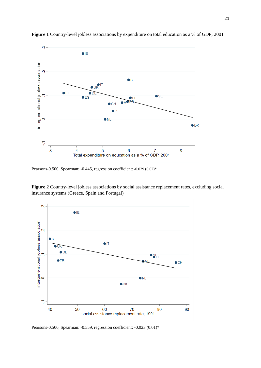

**Figure 1** Country-level jobless associations by expenditure on total education as a % of GDP, 2001

Pearsons-0.500, Spearman: -0.445, regression coefficient: -0.029 (0.02)\*

**Figure 2** Country-level jobless associations by social assistance replacement rates, excluding social insurance systems (Greece, Spain and Portugal)



Pearsons-0.500, Spearman: -0.559, regression coefficient: -0.023 (0.01)\*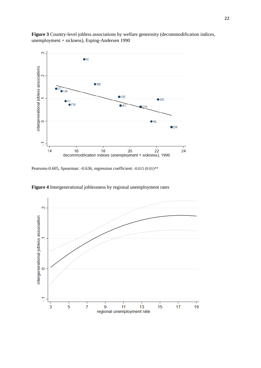**Figure 3** Country-level jobless associations by welfare generosity (decommodification indices, unemployment + sickness), Esping-Andersen 1990



Pearsons-0.605, Spearman: -0.636, regression coefficient: -0.015 (0.01)\*\*



**Figure 4** Intergenerational joblessness by regional unemployment rates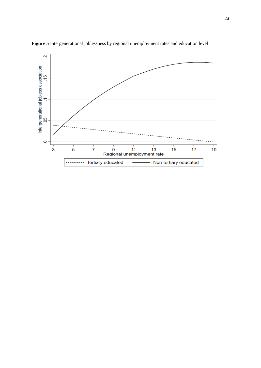

**Figure 5** Intergenerational joblessness by regional unemployment rates and education level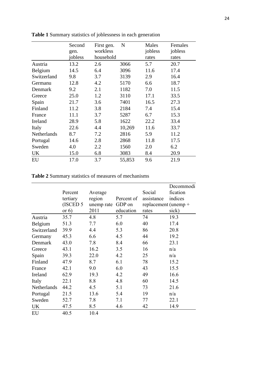|             | Second  | First gen. | $\mathbf N$ | Males   | Females |
|-------------|---------|------------|-------------|---------|---------|
|             | gen.    | workless   |             | jobless | jobless |
|             | jobless | household  |             | rates   | rates   |
| Austria     | 13.2    | 2.6        | 3066        | 5.7     | 20.7    |
| Belgium     | 14.5    | 6.4        | 3096        | 11.6    | 17.4    |
| Switzerland | 9.8     | 3.7        | 3139        | 2.9     | 16.4    |
| Germanu     | 12.8    | 4.2        | 5170        | 6.6     | 18.7    |
| Denmark     | 9.2     | 2.1        | 1182        | 7.0     | 11.5    |
| Greece      | 25.0    | 1.2        | 3110        | 17.1    | 33.5    |
| Spain       | 21.7    | 3.6        | 7401        | 16.5    | 27.3    |
| Finland     | 11.2    | 3.8        | 2184        | 7.4     | 15.4    |
| France      | 11.1    | 3.7        | 5287        | 6.7     | 15.3    |
| Ireland     | 28.9    | 5.8        | 1622        | 22.2    | 33.4    |
| Italy       | 22.6    | 4.4        | 10,269      | 11.6    | 33.7    |
| Netherlands | 8.7     | 7.2        | 2816        | 5.9     | 11.2    |
| Portugal    | 14.6    | 2.8        | 2868        | 11.8    | 17.5    |
| Sweden      | 4.0     | 2.2        | 1560        | 2.0     | 6.2     |
| UK          | 15.0    | 6.8        | 3083        | 8.4     | 20.9    |
| EU          | 17.0    | 3.7        | 55,853      | 9.6     | 21.9    |

**Table 1** Summary statistics of joblessness in each generation

**Table 2** Summary statistics of measures of mechanisms

|             |          |            |            |                        | Decommodi |
|-------------|----------|------------|------------|------------------------|-----------|
|             | Percent  | Average    |            | Social                 | fication  |
|             | tertiary | region     | Percent of | assistance             | indices   |
|             | (ISCED 5 | unemp rate | GDP on     | replacement (unemp $+$ |           |
|             | or $6)$  | 2011       | education  | rates                  | sick)     |
| Austria     | 35.7     | 4.8        | 5.7        | 74                     | 19.3      |
| Belgium     | 51.3     | 7.7        | 6.0        | 40                     | 17.4      |
| Switzerland | 39.9     | 4.4        | 5.3        | 86                     | 20.8      |
| Germany     | 45.3     | 6.6        | 4.5        | 44                     | 19.2      |
| Denmark     | 43.0     | 7.8        | 8.4        | 66                     | 23.1      |
| Greece      | 43.1     | 16.2       | 3.5        | 16                     | n/a       |
| Spain       | 39.3     | 22.0       | 4.2        | 25                     | n/a       |
| Finland     | 47.9     | 8.7        | 6.1        | 78                     | 15.2      |
| France      | 42.1     | 9.0        | 6.0        | 43                     | 15.5      |
| Ireland     | 62.9     | 19.3       | 4.2        | 49                     | 16.6      |
| Italy       | 22.1     | 8.8        | 4.8        | 60                     | 14.5      |
| Netherlands | 44.2     | 4.5        | 5.1        | 73                     | 21.6      |
| Portugal    | 21.5     | 13.6       | 5.4        | 19                     | n/a       |
| Sweden      | 52.7     | 7.8        | 7.1        | 77                     | 22.1      |
| UK          | 47.5     | 8.5        | 4.6        | 42                     | 14.9      |
| EU          | 40.5     | 10.4       |            |                        |           |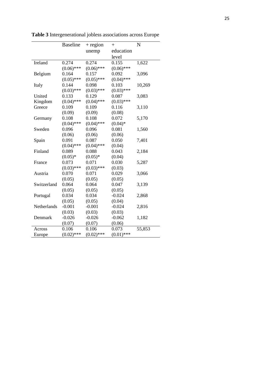|             | <b>Baseline</b> | $+$ region   | $^{+}$       | N      |
|-------------|-----------------|--------------|--------------|--------|
|             |                 | unemp        | education    |        |
|             |                 |              | level        |        |
| Ireland     | 0.274           | 0.274        | 0.155        | 1,622  |
|             | $(0.06)$ ***    | $(0.06)$ *** | $(0.06)$ *** |        |
| Belgium     | 0.164           | 0.157        | 0.092        | 3,096  |
|             | $(0.05)$ ***    | $(0.05)$ *** | $(0.04)$ *** |        |
| Italy       | 0.144           | 0.098        | 0.103        | 10,269 |
|             | $(0.03)$ ***    | $(0.03)$ *** | $(0.03)$ *** |        |
| United      | 0.133           | 0.129        | 0.087        | 3,083  |
| Kingdom     | $(0.04)$ ***    | $(0.04)$ *** | $(0.03)$ *** |        |
| Greece      | 0.109           | 0.109        | 0.116        | 3,110  |
|             | (0.09)          | (0.09)       | (0.08)       |        |
| Germany     | 0.108           | 0.108        | 0.072        | 5,170  |
|             | $(0.04)$ ***    | $(0.04)$ *** | $(0.04)*$    |        |
| Sweden      | 0.096           | 0.096        | 0.081        | 1,560  |
|             | (0.06)          | (0.06)       | (0.06)       |        |
| Spain       | 0.091           | 0.087        | 0.050        | 7,401  |
|             | $(0.04)$ ***    | $(0.04)$ *** | (0.04)       |        |
| Finland     | 0.089           | 0.088        | 0.043        | 2,184  |
|             | $(0.05)*$       | $(0.05)*$    | (0.04)       |        |
| France      | 0.073           | 0.071        | 0.030        | 5,287  |
|             | $(0.03)$ ***    | $(0.03)$ *** | (0.03)       |        |
| Austria     | 0.070           | 0.071        | 0.029        | 3,066  |
|             | (0.05)          | (0.05)       | (0.05)       |        |
| Switzerland | 0.064           | 0.064        | 0.047        | 3,139  |
|             | (0.05)          | (0.05)       | (0.05)       |        |
| Portugal    | 0.034           | 0.034        | $-0.024$     | 2,868  |
|             | (0.05)          | (0.05)       | (0.04)       |        |
| Netherlands | $-0.001$        | $-0.001$     | $-0.024$     | 2,816  |
|             | (0.03)          | (0.03)       | (0.03)       |        |
| Denmark     | $-0.026$        | $-0.026$     | $-0.062$     | 1,182  |
|             | (0.07)          | (0.07)       | (0.06)       |        |
| Across      | 0.106           | 0.106        | 0.073        | 55,853 |
| Europe      | $(0.02)$ ***    | $(0.02)$ *** | $(0.01)$ *** |        |

**Table 3** Intergenerational jobless associations across Europe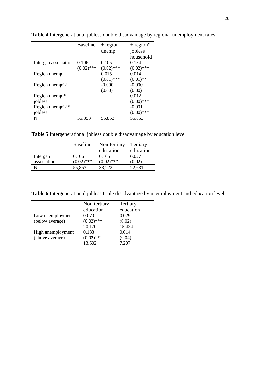|                                    | <b>Baseline</b> | $+$ region   | $+$ region*  |
|------------------------------------|-----------------|--------------|--------------|
|                                    |                 | unemp        | jobless      |
|                                    |                 |              | household    |
| Intergen association               | 0.106           | 0.105        | 0.134        |
|                                    | $(0.02)$ ***    | $(0.02)$ *** | $(0.02)$ *** |
| Region unemp                       |                 | 0.015        | 0.014        |
|                                    |                 | $(0.01)$ *** | $(0.01)$ **  |
| Region unemp $\gamma$ 2            |                 | $-0.000$     | $-0.000$     |
|                                    |                 | (0.00)       | (0.00)       |
| Region unemp <sup>*</sup>          |                 |              | 0.012        |
| jobless                            |                 |              | $(0.00)$ *** |
| Region unemp $\gamma$ <sup>*</sup> |                 |              | $-0.001$     |
| jobless                            |                 |              | $(0.00)$ *** |
| N                                  | 55,853          | 55,853       | 55,853       |

**Table 4** Intergenerational jobless double disadvantage by regional unemployment rates

**Table 5** Intergenerational jobless double disadvantage by education level

|             | <b>Baseline</b> | Non-tertiary | Tertiary  |
|-------------|-----------------|--------------|-----------|
|             |                 | education    | education |
| Intergen    | 0.106           | 0.105        | 0.027     |
| association | $(0.02)$ ***    | $(0.02)$ *** | (0.02)    |
| N           | 55,853          | 33,222       | 22,631    |

**Table 6** Intergenerational jobless triple disadvantage by unemployment and education level

| Low unemployment<br>(below average)<br>High unemployment<br>(above average) | Non-tertiary<br>education<br>0.070<br>$(0.02)$ ***<br>20,170<br>0.133<br>$(0.02)$ *** | Tertiary<br>education<br>0.029<br>(0.02)<br>15,424<br>0.014<br>(0.04) |
|-----------------------------------------------------------------------------|---------------------------------------------------------------------------------------|-----------------------------------------------------------------------|
|                                                                             | 13,502                                                                                | 7,207                                                                 |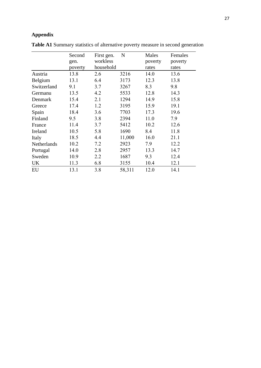## **Appendix**

|             | Second  | First gen. | $\mathbf N$ | Males   | Females |
|-------------|---------|------------|-------------|---------|---------|
|             | gen.    | workless   |             | poverty | poverty |
|             | poverty | household  |             | rates   | rates   |
| Austria     | 13.8    | 2.6        | 3216        | 14.0    | 13.6    |
| Belgium     | 13.1    | 6.4        | 3173        | 12.3    | 13.8    |
| Switzerland | 9.1     | 3.7        | 3267        | 8.3     | 9.8     |
| Germanu     | 13.5    | 4.2        | 5533        | 12.8    | 14.3    |
| Denmark     | 15.4    | 2.1        | 1294        | 14.9    | 15.8    |
| Greece      | 17.4    | 1.2        | 3195        | 15.9    | 19.1    |
| Spain       | 18.4    | 3.6        | 7703        | 17.3    | 19.6    |
| Finland     | 9.5     | 3.8        | 2394        | 11.0    | 7.9     |
| France      | 11.4    | 3.7        | 5412        | 10.2    | 12.6    |
| Ireland     | 10.5    | 5.8        | 1690        | 8.4     | 11.8    |
| Italy       | 18.5    | 4.4        | 11,000      | 16.0    | 21.1    |
| Netherlands | 10.2    | 7.2        | 2923        | 7.9     | 12.2    |
| Portugal    | 14.0    | 2.8        | 2957        | 13.3    | 14.7    |
| Sweden      | 10.9    | 2.2        | 1687        | 9.3     | 12.4    |
| UK          | 11.3    | 6.8        | 3155        | 10.4    | 12.1    |
| EU          | 13.1    | 3.8        | 58,311      | 12.0    | 14.1    |

**Table A1** Summary statistics of alternative poverty measure in second generation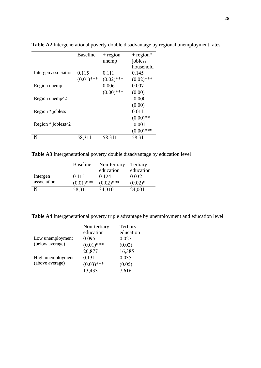|                                              | <b>Baseline</b> | $+$ region   | $+$ region*  |
|----------------------------------------------|-----------------|--------------|--------------|
|                                              |                 | unemp        | jobless      |
|                                              |                 |              | household    |
| Intergen association                         | 0.115           | 0.111        | 0.145        |
|                                              | $(0.01)$ ***    | $(0.02)$ *** | $(0.02)$ *** |
| Region unemp                                 |                 | 0.006        | 0.007        |
|                                              |                 | $(0.00)$ *** | (0.00)       |
| Region unemp <sup><math>\gamma</math>2</sup> |                 |              | $-0.000$     |
|                                              |                 |              | (0.00)       |
| Region * jobless                             |                 |              | 0.011        |
|                                              |                 |              | $(0.00)**$   |
| Region * jobless^2                           |                 |              | $-0.001$     |
|                                              |                 |              | $(0.00)$ *** |
| N                                            | 58,311          | 58,311       | 58,311       |

**Table A2** Intergenerational poverty double disadvantage by regional unemployment rates

**Table A3** Intergenerational poverty double disadvantage by education level

|             | <b>Baseline</b> | Non-tertiary | Tertiary   |
|-------------|-----------------|--------------|------------|
|             |                 | education    | education  |
| Intergen    | 0.115           | 0.124        | 0.032      |
| association | $(0.01)$ ***    | $(0.02)$ *** | $(0.02)^*$ |
|             | 58,311          | 34,310       | 24,001     |
|             |                 |              |            |

**Table A4** Intergenerational poverty triple advantage by unemployment and education level

| Low unemployment<br>(below average)  | Non-tertiary<br>education<br>0.095<br>$(0.01)$ *** | Tertiary<br>education<br>0.027<br>(0.02) |
|--------------------------------------|----------------------------------------------------|------------------------------------------|
| High unemployment<br>(above average) | 20,877<br>0.131<br>$(0.03)$ ***<br>13,433          | 16,385<br>0.035<br>(0.05)<br>7,616       |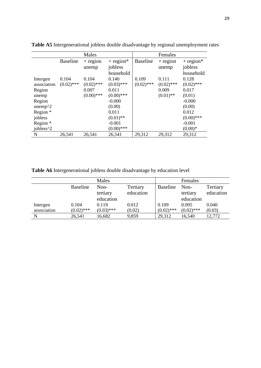|                       |                 | Males        |              |                 | Females      |              |
|-----------------------|-----------------|--------------|--------------|-----------------|--------------|--------------|
|                       | <b>Baseline</b> | $+$ region   | $+$ region*  | <b>Baseline</b> | $+$ region   | $+$ region*  |
|                       |                 | unemp        | jobless      |                 | unemp        | jobless      |
|                       |                 |              | household    |                 |              | household    |
| Intergen              | 0.104           | 0.104        | 0.140        | 0.109           | 0.111        | 0.128        |
| association           | $(0.02)$ ***    | $(0.02)$ *** | $(0.03)$ *** | $(0.02)$ ***    | $(0.02)$ *** | $(0.02)$ *** |
| Region                |                 | 0.007        | 0.011        |                 | 0.009        | 0.017        |
| unemp                 |                 | $(0.00)$ *** | $(0.00)$ *** |                 | $(0.01)$ **  | (0.01)       |
| Region                |                 |              | $-0.000$     |                 |              | $-0.000$     |
| unemp $\gamma$ 2      |                 |              | (0.00)       |                 |              | (0.00)       |
| Region *              |                 |              | 0.011        |                 |              | 0.012        |
| jobless               |                 |              | $(0.01)$ **  |                 |              | $(0.00)$ *** |
| Region *              |                 |              | $-0.001$     |                 |              | $-0.001$     |
| jobless <sup>^2</sup> |                 |              | $(0.00)$ *** |                 |              | $(0.00)*$    |
| N                     | 26,541          | 26,541       | 26,541       | 29,312          | 29,312       | 29,312       |

**Table A5** Intergenerational jobless double disadvantage by regional unemployment rates

**Table A6** Intergenerational jobless double disadvantage by education level

|             |                 | Males        |           |                 | Females      |           |
|-------------|-----------------|--------------|-----------|-----------------|--------------|-----------|
|             | <b>Baseline</b> | Non-         | Tertiary  | <b>Baseline</b> | Non-         | Tertiary  |
|             |                 | tertiary     | education |                 | tertiary     | education |
|             |                 | education    |           |                 | education    |           |
| Intergen    | 0.104           | 0.119        | 0.012     | 0.109           | 0.095        | 0.040     |
| association | $(0.02)$ ***    | $(0.03)$ *** | (0.02)    | $(0.02)$ ***    | $(0.02)$ *** | (0.03)    |
| N           | 26,541          | 16,682       | 9,859     | 29,312          | 16,540       | 12,772    |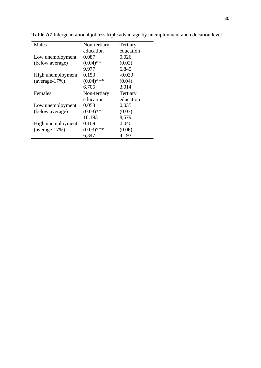| Males             | Non-tertiary | Tertiary  |
|-------------------|--------------|-----------|
|                   | education    | education |
| Low unemployment  | 0.087        | 0.026     |
| (below average)   | $(0.04)$ **  | (0.02)    |
|                   | 9,977        | 6,845     |
| High unemployment | 0.153        | $-0.030$  |
| $(average-17%)$   | $(0.04)$ *** | (0.04)    |
|                   | 6,705        | 3,014     |
|                   |              |           |
| Females           | Non-tertiary | Tertiary  |
|                   | education    | education |
| Low unemployment  | 0.058        | 0.035     |
| (below average)   | $(0.03)$ **  | (0.03)    |
|                   | 10,193       | 8,579     |
| High unemployment | 0.109        | 0.040     |
| $(average-17%)$   | $(0.03)$ *** | (0.06)    |

**Table A7** Intergenerational jobless triple advantage by unemployment and education level